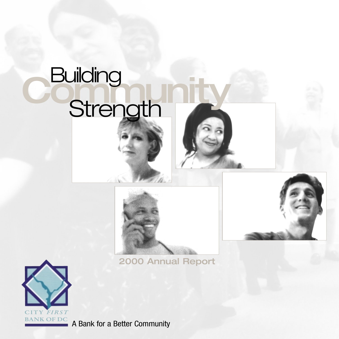# **C** Building<br>Strength **Strength**



2000 Annual Report



A Bank for a Better Community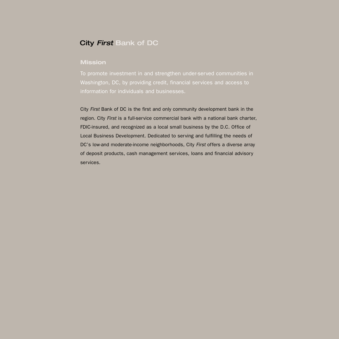## City *First* Bank of DC

### **Mission**

To promote investment in and strengthen under-served communities in Washington, DC, by providing credit, financial services and access to information for individuals and businesses.

City *First* Bank of DC is the first and only community development bank in the region. City *First* is a full-service commercial bank with a national bank charter, FDIC-insured, and recognized as a local small business by the D.C. Office of Local Business Development. Dedicated to serving and fulfilling the needs of DC's low-and moderate-income neighborhoods, City *First* offers a diverse array of deposit products, cash management services, loans and financial advisory services.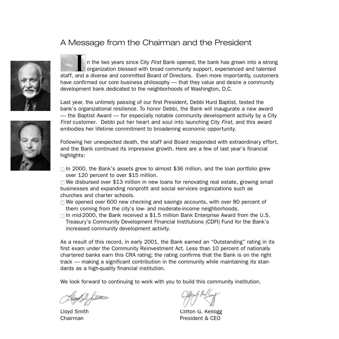## A Message from the Chairman and the President



n the two years since City *First* Bank opened, the bank has grown into a strong organization blessed with broad community support, experienced and talented In the two years since City First Bank opened, the bank has grown into a strong organization blessed with broad community support, experienced and talented staff, and a diverse and committed Board of Directors. Even more i have confirmed our core business philosophy — that they value and desire a community development bank dedicated to the neighborhoods of Washington, D.C.

Last year, the untimely passing of our first President, Debbi Hurd Baptist, tested the bank's organizational resilience. To honor Debbi, the Bank will inaugurate a new award — the Baptist Award — for especially notable community development activity by a City *First* customer. Debbi put her heart and soul into launching City *First*, and this award embodies her lifetime commitment to broadening economic opportunity.

Following her unexpected death, the staff and Board responded with extraordinary effort, and the Bank continued its impressive growth. Here are a few of last year's financial highlights:

 $\Box$  In 2000, the Bank's assets grew to almost \$36 million, and the loan portfolio grew over 120 percent to over \$15 million.

 $\Box$  We disbursed over \$13 million in new loans for renovating real estate, growing small businesses and expanding nonprofit and social services organizations such as churches and charter schools.

- $\Box$  We opened over 600 new checking and savings accounts, with over 80 percent of them coming from the city's low- and moderate-income neighborhoods.
- $\Box$  In mid-2000, the Bank received a \$1.5 million Bank Enterprise Award from the U.S. Treasury's Community Development Financial Institutions (CDFI) Fund for the Bank's increased community development activity.

As a result of this record, in early 2001, the Bank earned an "Outstanding" rating in its first exam under the Community Reinvestment Act. Less than 10 percent of nationally chartered banks earn this CRA rating; the rating confirms that the Bank is on the right track — making a significant contribution in the community while maintaining its standards as a high-quality financial institution.

We look forward to continuing to work with you to build this community institution.

Lloyd Smith Clifton G. Kellogg Chairman President & CEO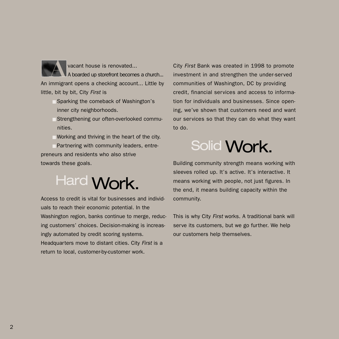vacant house is renovated... A boarded up storefront becomes a church... An immigrant opens a checking account... Little by little, bit by bit, City *First* is **A**

- Sparking the comeback of Washington's inner city neighborhoods.
- Strengthening our often-overlooked communities.
- $\Box$  Working and thriving in the heart of the city.

■ Partnering with community leaders, entrepreneurs and residents who also strive towards these goals.

Hard Work.

Access to credit is vital for businesses and individuals to reach their economic potential. In the Washington region, banks continue to merge, reducing customers' choices. Decision-making is increasingly automated by credit scoring systems. Headquarters move to distant cities. City *First* is a return to local, customer-by-customer work.

City *First* Bank was created in 1998 to promote investment in and strengthen the under-served communities of Washington, DC by providing credit, financial services and access to information for individuals and businesses. Since opening, we've shown that customers need and want our services so that they can do what they want to do.



Building community strength means working with sleeves rolled up. It's active. It's interactive. It means working with people, not just figures. In the end, it means building capacity within the community.

This is why City *First* works. A traditional bank will serve its customers, but we go further. We help our customers help themselves.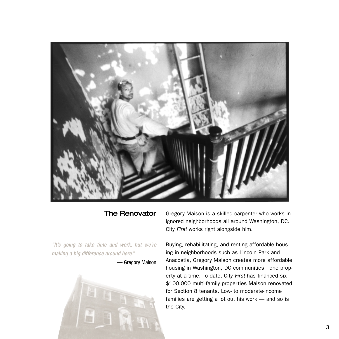

## The Renovator

*"It's going to take time and work, but we're making a big difference around here."*

— Gregory Maison



Gregory Maison is a skilled carpenter who works in ignored neighborhoods all around Washington, DC. City *First* works right alongside him.

Buying, rehabilitating, and renting affordable housing in neighborhoods such as Lincoln Park and Anacostia, Gregory Maison creates more affordable housing in Washington, DC communities, one property at a time. To date, City *First* has financed six \$100,000 multi-family properties Maison renovated for Section 8 tenants. Low- to moderate-income families are getting a lot out his work — and so is the City.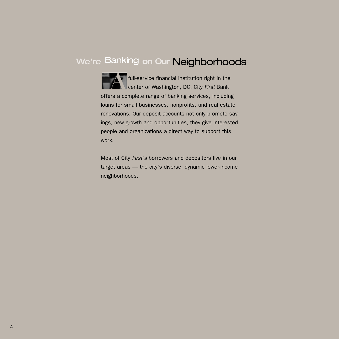## We're Banking on Our Neighborhoods

full-service financial institution right in the<br>
center of Washington, DC, City First Bank center of Washington, DC, City *First* Bank offers a complete range of banking services, including loans for small businesses, nonprofits, and real estate renovations. Our deposit accounts not only promote savings, new growth and opportunities, they give interested people and organizations a direct way to support this work.

Most of City *First's* borrowers and depositors live in our target areas — the city's diverse, dynamic lower-income neighborhoods.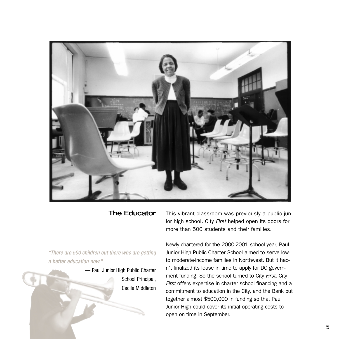

## The Educator

*"There are 500 children out there who are getting a better education now."*

> — Paul Junior High Public Charter School Principal, Cecile Middleton

This vibrant classroom was previously a public junior high school. City *First* helped open its doors for more than 500 students and their families.

Newly chartered for the 2000-2001 school year, Paul Junior High Public Charter School aimed to serve lowto moderate-income families in Northwest. But it hadn't finalized its lease in time to apply for DC government funding. So the school turned to City *First*. City *First* offers expertise in charter school financing and a commitment to education in the City, and the Bank put together almost \$500,000 in funding so that Paul Junior High could cover its initial operating costs to open on time in September.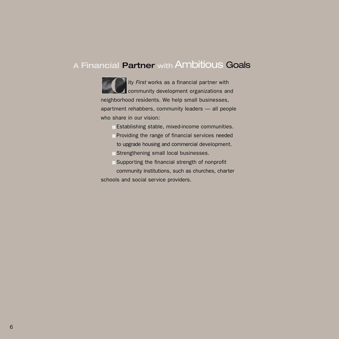## A Financial Partner with Ambitious Goals

ity *First* works as a financial partner with community development organizations and ity *First* works as a financial partner with<br>community development organizations are neighborhood residents. We help small businesses, apartment rehabbers, community leaders — all people who share in our vision:

- Establishing stable, mixed-income communities.
- Providing the range of financial services needed to upgrade housing and commercial development.
- Strengthening small local businesses.
- $\Box$  Supporting the financial strength of nonprofit

community institutions, such as churches, charter schools and social service providers.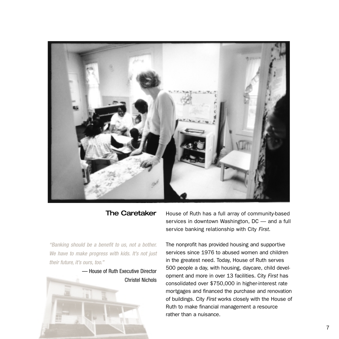

## The Caretaker

*"Banking should be a benefit to us, not a bother. We have to make progress with kids. It's not just their future, it's ours, too."*



House of Ruth has a full array of community-based services in downtown Washington, DC — and a full service banking relationship with City *First*.

The nonprofit has provided housing and supportive services since 1976 to abused women and children in the greatest need. Today, House of Ruth serves 500 people a day, with housing, daycare, child development and more in over 13 facilities. City *First* has consolidated over \$750,000 in higher-interest rate mortgages and financed the purchase and renovation of buildings. City *First* works closely with the House of Ruth to make financial management a resource rather than a nuisance.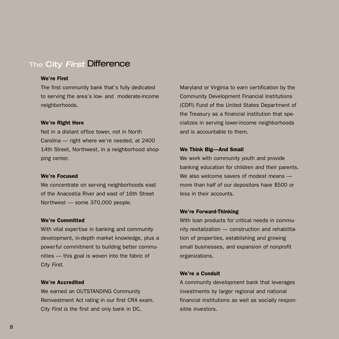## The City *First* Difference

#### We're First

The first community bank that's fully dedicated to serving the area's low- and moderate-income neighborhoods.

#### We're Right Here

Not in a distant office tower, not in North Carolina — right where we're needed, at 2400 14th Street, Northwest, in a neighborhood shopping center.

#### We're Focused

We concentrate on serving neighborhoods east of the Anacostia River and east of 16th Street Northwest — some 370,000 people.

#### We're Committed

With vital expertise in banking and community development, in-depth market knowledge, plus a powerful commitment to building better communities — this goal is woven into the fabric of City *First.*

#### We're Accredited

We earned an OUTSTANDING Community Renivestment Act rating in our first CRA exam. City *First* is the first and only bank in DC,

Maryland or Virginia to earn certification by the Community Development Financial Institutions (CDFI) Fund of the United States Department of the Treasury as a financial institution that specializes in serving lower-income neighborhoods and is accountable to them.

#### We Think Big—And Small

We work with community youth and provide banking education for children and their parents. We also welcome savers of modest means more than half of our depositors have \$500 or less in their accounts.

#### We're Forward-Thinking

With loan products for critical needs in community revitalization — construction and rehabilitation of properties, establishing and growing small businesses, and expansion of nonprofit organizations.

### We're a Conduit

A community development bank that leverages investments by larger regional and national financial institutions as well as socially responsible investors.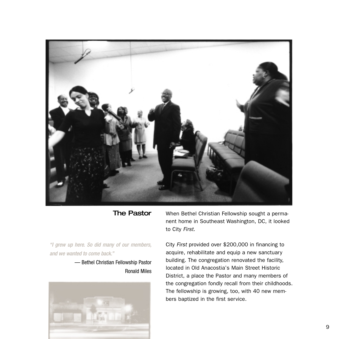

## The Pastor

*"I grew up here. So did many of our members, and we wanted to come back."*

> — Bethel Christian Fellowship Pastor Ronald Miles



When Bethel Christian Fellowship sought a permanent home in Southeast Washington, DC, it looked to City *First.*

City *First* provided over \$200,000 in financing to acquire, rehabilitate and equip a new sanctuary building. The congregation renovated the facility, located in Old Anacostia's Main Street Historic District, a place the Pastor and many members of the congregation fondly recall from their childhoods. The fellowship is growing, too, with 40 new members baptized in the first service.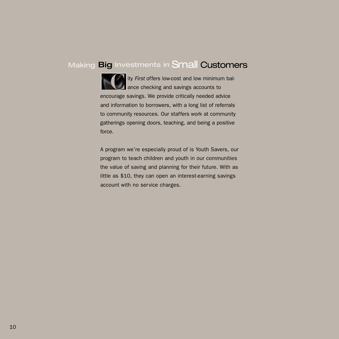## Making Big Investments in Small Customers

**C** ity *First* offers low-cost and low minimum bal-<br>ance checking and savings accounts to **A** ance checking and savings accounts to encourage savings. We provide critically needed advice and information to borrowers, with a long list of referrals to community resources. Our staffers work at community gatherings opening doors, teaching, and being a positive force.

A program we're especially proud of is Youth Savers, our program to teach children and youth in our communities the value of saving and planning for their future. With as little as \$10, they can open an interest-earning savings account with no service charges.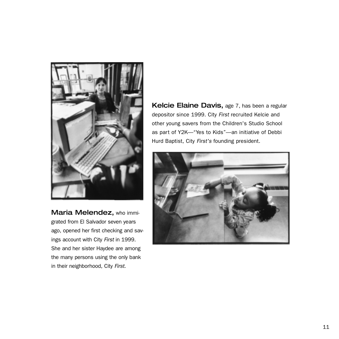

Maria Melendez, who immigrated from El Salvador seven years ago, opened her first checking and savings account with City *First* in 1999. She and her sister Haydee are among the many persons using the only bank in their neighborhood, City *First.*

Kelcie Elaine Davis, age 7, has been a regular depositor since 1999. City *First* recruited Kelcie and other young savers from the Children's Studio School as part of Y2K—"Yes to Kids"—an initiative of Debbi Hurd Baptist, City *First's* founding president.

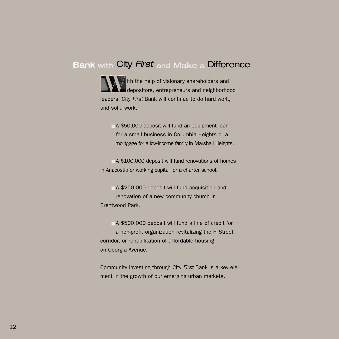## Bank with City *First* and Make <sup>a</sup> Difference

ith the help of visionary shareholders and<br>depositors, entrepreneurs and neighborho depositors, entrepreneurs and neighborhood leaders, City *First* Bank will continue to do hard work, and solid work.

 $\Box$  A \$50,000 deposit will fund an equipment loan for a small business in Columbia Heights or a mortgage for a low-income family in Marshall Heights.

 $\Box$  A \$100,000 deposit will fund renovations of homes in Anacostia or working capital for a charter school.

■ A \$250,000 deposit will fund acquisition and renovation of a new community church in Brentwood Park.

■ A \$500,000 deposit will fund a line of credit for a non-profit organization revitalizing the H Street corridor, or rehabilitation of affordable housing on Georgia Avenue.

Community investing through City *First* Bank is a key element in the growth of our emerging urban markets.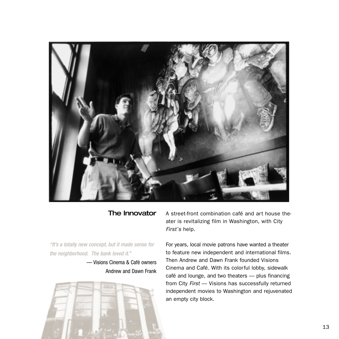

## The Innovator

*"It's a totally new concept, but it made sense for the neighborhood. The bank loved it."*

> — Visions Cinema & Café owners Andrew and Dawn Frank



A street-front combination café and art house theater is revitalizing film in Washington, with City *First's* help.

For years, local movie patrons have wanted a theater to feature new independent and international films. Then Andrew and Dawn Frank founded Visions Cinema and Café. With its colorful lobby, sidewalk café and lounge, and two theaters — plus financing from City *First* — Visions has successfully returned independent movies to Washington and rejuvenated an empty city block.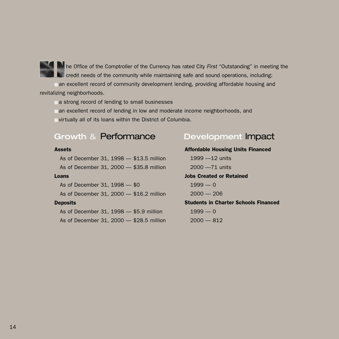

The Office of the Comptroller of the Currency has rated City *First* "Outstanding" in meeting the<br>
credit needs of the community while maintaining safe and sound operations, including:<br> **TREVISHERS** are also assembly devel credit needs of the community while maintaining safe and sound operations, including:

■ an excellent record of community development lending, providing affordable housing and revitalizing neighborhoods.

■ a strong record of lending to small businesses

■ an excellent record of lending in low and moderate income neighborhoods, and

 $\blacksquare$  virtually all of its loans within the District of Columbia.

## Growth & Performance Development Impact

#### **Assets**

As of December 31, 1998 — \$13.5 million As of December 31, 2000 — \$35.8 million

#### Loans

As of December 31, 1998 — \$0 As of December 31, 2000 — \$16.2 million **Deposits** As of December 31, 1998 — \$5.9 million

As of December 31, 2000 — \$28.5 million

Affordable Housing Units Financed 1999 —12 units 2000 —71 units Jobs Created or Retained  $1999 - 0$  $2000 - 206$ Students in Charter Schools Financed  $1999 - 0$  $2000 - 812$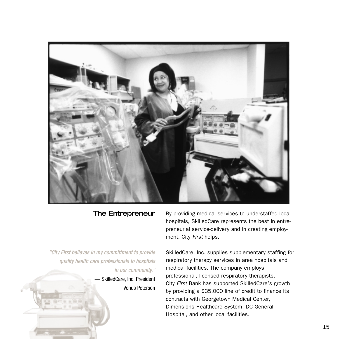

## The Entrepreneur

*"City First believes in my committment to provide quality health care professionals to hospitals in our community."*

> — SkilledCare, Inc. President Venus Peterson

By providing medical services to understaffed local hospitals, SkilledCare represents the best in entrepreneurial service-delivery and in creating employment. City *First* helps.

SkilledCare, Inc. supplies supplementary staffing for respiratory therapy services in area hospitals and medical facilities. The company employs professional, licensed respiratory therapists. City *First* Bank has supported SkilledCare's growth by providing a \$35,000 line of credit to finance its contracts with Georgetown Medical Center, Dimensions Healthcare System, DC General Hospital, and other local facilities.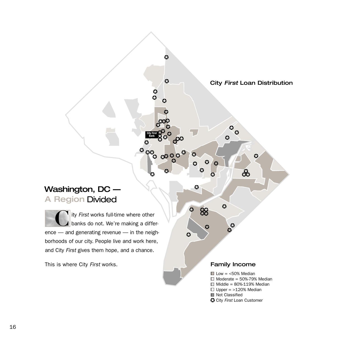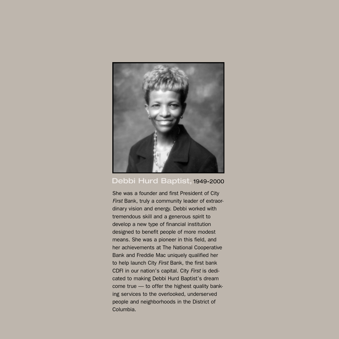

## Debbi Hurd Baptist, 1949-2000

She was a founder and first President of City *First* Bank, truly a community leader of extraordinary vision and energy. Debbi worked with tremendous skill and a generous spirit to develop a new type of financial institution designed to benefit people of more modest means. She was a pioneer in this field, and her achievements at The National Cooperative Bank and Freddie Mac uniquely qualified her to help launch City *First* Bank, the first bank CDFI in our nation's capital. City *First* is dedicated to making Debbi Hurd Baptist's dream come true — to offer the highest quality banking services to the overlooked, underserved people and neighborhoods in the District of Columbia.